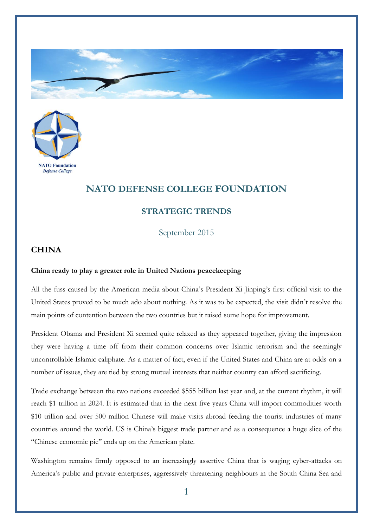



## **NATO DEFENSE COLLEGE FOUNDATION**

## **STRATEGIC TRENDS**

September 2015

## **CHINA**

## **China ready to play a greater role in United Nations peacekeeping**

All the fuss caused by the American media about China's President Xi Jinping's first official visit to the United States proved to be much ado about nothing. As it was to be expected, the visit didn't resolve the main points of contention between the two countries but it raised some hope for improvement.

President Obama and President Xi seemed quite relaxed as they appeared together, giving the impression they were having a time off from their common concerns over Islamic terrorism and the seemingly uncontrollable Islamic caliphate. As a matter of fact, even if the United States and China are at odds on a number of issues, they are tied by strong mutual interests that neither country can afford sacrificing.

Trade exchange between the two nations exceeded \$555 billion last year and, at the current rhythm, it will reach \$1 trillion in 2024. It is estimated that in the next five years China will import commodities worth \$10 trillion and over 500 million Chinese will make visits abroad feeding the tourist industries of many countries around the world. US is China's biggest trade partner and as a consequence a huge slice of the "Chinese economic pie" ends up on the American plate.

Washington remains firmly opposed to an increasingly assertive China that is waging cyber-attacks on America's public and private enterprises, aggressively threatening neighbours in the South China Sea and